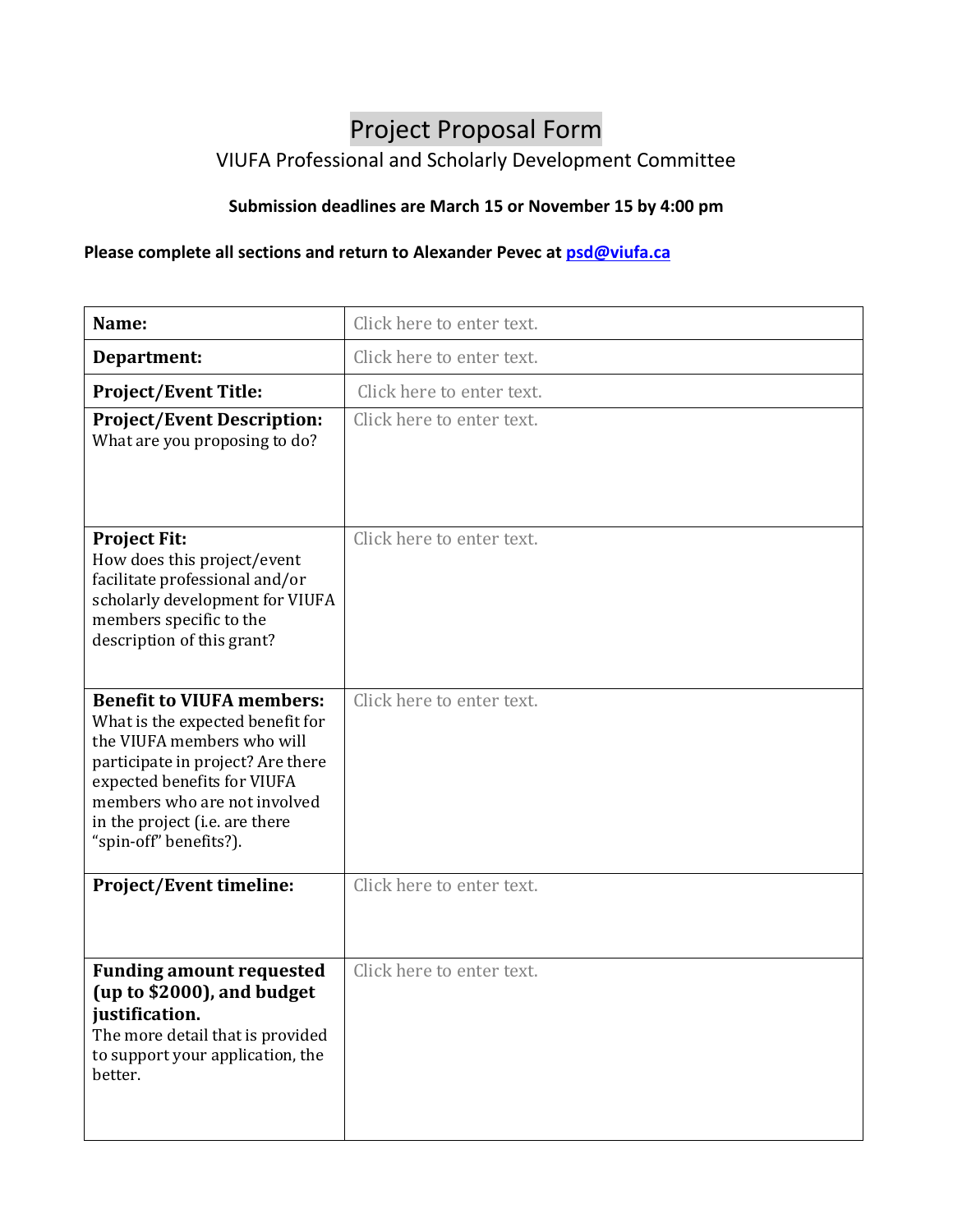## Project Proposal Form VIUFA Professional and Scholarly Development Committee

## **Submission deadlines are March 15 or November 15 by 4:00 pm**

## **Please complete all sections and return to Alexander Pevec a[t psd@viufa.ca](mailto:psd@viufa.ca)**

| Name:                                                                                                                                                                                                                                                              | Click here to enter text. |
|--------------------------------------------------------------------------------------------------------------------------------------------------------------------------------------------------------------------------------------------------------------------|---------------------------|
| Department:                                                                                                                                                                                                                                                        | Click here to enter text. |
| <b>Project/Event Title:</b>                                                                                                                                                                                                                                        | Click here to enter text. |
| <b>Project/Event Description:</b><br>What are you proposing to do?                                                                                                                                                                                                 | Click here to enter text. |
| <b>Project Fit:</b><br>How does this project/event<br>facilitate professional and/or<br>scholarly development for VIUFA<br>members specific to the<br>description of this grant?                                                                                   | Click here to enter text. |
| <b>Benefit to VIUFA members:</b><br>What is the expected benefit for<br>the VIUFA members who will<br>participate in project? Are there<br>expected benefits for VIUFA<br>members who are not involved<br>in the project (i.e. are there<br>"spin-off" benefits?). | Click here to enter text. |
| <b>Project/Event timeline:</b>                                                                                                                                                                                                                                     | Click here to enter text. |
| <b>Funding amount requested</b><br>(up to \$2000), and budget<br>justification.<br>The more detail that is provided<br>to support your application, the<br>better.                                                                                                 | Click here to enter text. |